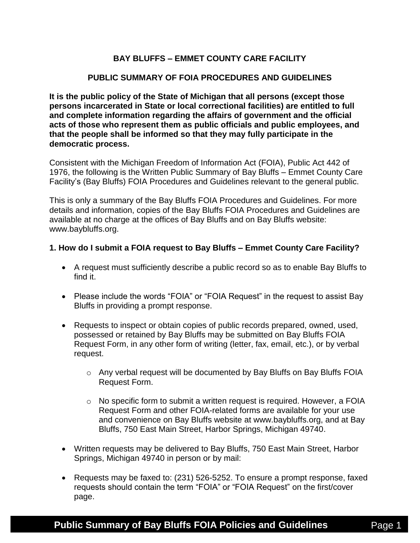# **BAY BLUFFS – EMMET COUNTY CARE FACILITY**

## **PUBLIC SUMMARY OF FOIA PROCEDURES AND GUIDELINES**

**It is the public policy of the State of Michigan that all persons (except those persons incarcerated in State or local correctional facilities) are entitled to full and complete information regarding the affairs of government and the official acts of those who represent them as public officials and public employees, and that the people shall be informed so that they may fully participate in the democratic process.**

Consistent with the Michigan Freedom of Information Act (FOIA), Public Act 442 of 1976, the following is the Written Public Summary of Bay Bluffs – Emmet County Care Facility's (Bay Bluffs) FOIA Procedures and Guidelines relevant to the general public.

This is only a summary of the Bay Bluffs FOIA Procedures and Guidelines. For more details and information, copies of the Bay Bluffs FOIA Procedures and Guidelines are available at no charge at the offices of Bay Bluffs and on Bay Bluffs website: www.baybluffs.org.

### **1. How do I submit a FOIA request to Bay Bluffs – Emmet County Care Facility?**

- A request must sufficiently describe a public record so as to enable Bay Bluffs to find it.
- Please include the words "FOIA" or "FOIA Request" in the request to assist Bay Bluffs in providing a prompt response.
- Requests to inspect or obtain copies of public records prepared, owned, used, possessed or retained by Bay Bluffs may be submitted on Bay Bluffs FOIA Request Form, in any other form of writing (letter, fax, email, etc.), or by verbal request.
	- o Any verbal request will be documented by Bay Bluffs on Bay Bluffs FOIA Request Form.
	- $\circ$  No specific form to submit a written request is required. However, a FOIA Request Form and other FOIA-related forms are available for your use and convenience on Bay Bluffs website at www.baybluffs.org, and at Bay Bluffs, 750 East Main Street, Harbor Springs, Michigan 49740.
- Written requests may be delivered to Bay Bluffs, 750 East Main Street, Harbor Springs, Michigan 49740 in person or by mail:
- Requests may be faxed to: (231) 526-5252. To ensure a prompt response, faxed requests should contain the term "FOIA" or "FOIA Request" on the first/cover page.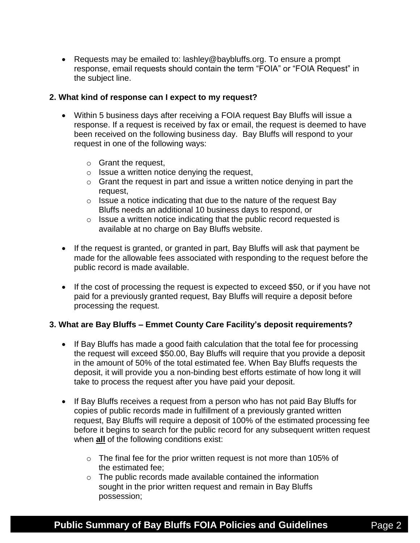Requests may be emailed to: lashley@baybluffs.org. To ensure a prompt response, email requests should contain the term "FOIA" or "FOIA Request" in the subject line.

### **2. What kind of response can I expect to my request?**

- Within 5 business days after receiving a FOIA request Bay Bluffs will issue a response. If a request is received by fax or email, the request is deemed to have been received on the following business day. Bay Bluffs will respond to your request in one of the following ways:
	- o Grant the request,
	- o Issue a written notice denying the request,
	- $\circ$  Grant the request in part and issue a written notice denying in part the request,
	- $\circ$  Issue a notice indicating that due to the nature of the request Bay Bluffs needs an additional 10 business days to respond, or
	- o Issue a written notice indicating that the public record requested is available at no charge on Bay Bluffs website.
- If the request is granted, or granted in part, Bay Bluffs will ask that payment be made for the allowable fees associated with responding to the request before the public record is made available.
- If the cost of processing the request is expected to exceed \$50, or if you have not paid for a previously granted request, Bay Bluffs will require a deposit before processing the request.

## **3. What are Bay Bluffs – Emmet County Care Facility's deposit requirements?**

- If Bay Bluffs has made a good faith calculation that the total fee for processing the request will exceed \$50.00, Bay Bluffs will require that you provide a deposit in the amount of 50% of the total estimated fee. When Bay Bluffs requests the deposit, it will provide you a non-binding best efforts estimate of how long it will take to process the request after you have paid your deposit.
- If Bay Bluffs receives a request from a person who has not paid Bay Bluffs for copies of public records made in fulfillment of a previously granted written request, Bay Bluffs will require a deposit of 100% of the estimated processing fee before it begins to search for the public record for any subsequent written request when **all** of the following conditions exist:
	- $\circ$  The final fee for the prior written request is not more than 105% of the estimated fee;
	- o The public records made available contained the information sought in the prior written request and remain in Bay Bluffs possession;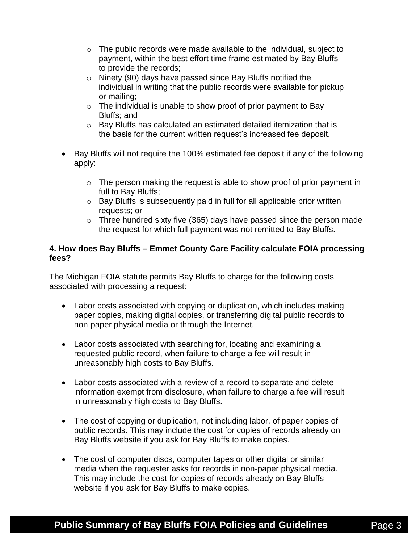- o The public records were made available to the individual, subject to payment, within the best effort time frame estimated by Bay Bluffs to provide the records;
- o Ninety (90) days have passed since Bay Bluffs notified the individual in writing that the public records were available for pickup or mailing;
- $\circ$  The individual is unable to show proof of prior payment to Bay Bluffs; and
- o Bay Bluffs has calculated an estimated detailed itemization that is the basis for the current written request's increased fee deposit.
- Bay Bluffs will not require the 100% estimated fee deposit if any of the following apply:
	- $\circ$  The person making the request is able to show proof of prior payment in full to Bay Bluffs;
	- o Bay Bluffs is subsequently paid in full for all applicable prior written requests; or
	- $\circ$  Three hundred sixty five (365) days have passed since the person made the request for which full payment was not remitted to Bay Bluffs.

# **4. How does Bay Bluffs – Emmet County Care Facility calculate FOIA processing fees?**

The Michigan FOIA statute permits Bay Bluffs to charge for the following costs associated with processing a request:

- Labor costs associated with copying or duplication, which includes making paper copies, making digital copies, or transferring digital public records to non-paper physical media or through the Internet.
- Labor costs associated with searching for, locating and examining a requested public record, when failure to charge a fee will result in unreasonably high costs to Bay Bluffs.
- Labor costs associated with a review of a record to separate and delete information exempt from disclosure, when failure to charge a fee will result in unreasonably high costs to Bay Bluffs.
- The cost of copying or duplication, not including labor, of paper copies of public records. This may include the cost for copies of records already on Bay Bluffs website if you ask for Bay Bluffs to make copies.
- The cost of computer discs, computer tapes or other digital or similar media when the requester asks for records in non-paper physical media. This may include the cost for copies of records already on Bay Bluffs website if you ask for Bay Bluffs to make copies.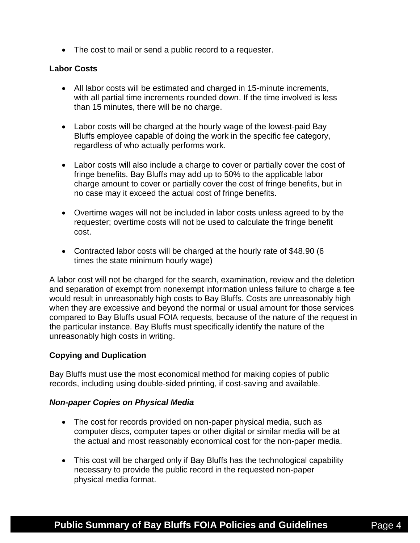• The cost to mail or send a public record to a requester.

#### **Labor Costs**

- All labor costs will be estimated and charged in 15-minute increments, with all partial time increments rounded down. If the time involved is less than 15 minutes, there will be no charge.
- Labor costs will be charged at the hourly wage of the lowest-paid Bay Bluffs employee capable of doing the work in the specific fee category, regardless of who actually performs work.
- Labor costs will also include a charge to cover or partially cover the cost of fringe benefits. Bay Bluffs may add up to 50% to the applicable labor charge amount to cover or partially cover the cost of fringe benefits, but in no case may it exceed the actual cost of fringe benefits.
- Overtime wages will not be included in labor costs unless agreed to by the requester; overtime costs will not be used to calculate the fringe benefit cost.
- Contracted labor costs will be charged at the hourly rate of \$48.90 (6 times the state minimum hourly wage)

A labor cost will not be charged for the search, examination, review and the deletion and separation of exempt from nonexempt information unless failure to charge a fee would result in unreasonably high costs to Bay Bluffs. Costs are unreasonably high when they are excessive and beyond the normal or usual amount for those services compared to Bay Bluffs usual FOIA requests, because of the nature of the request in the particular instance. Bay Bluffs must specifically identify the nature of the unreasonably high costs in writing.

## **Copying and Duplication**

Bay Bluffs must use the most economical method for making copies of public records, including using double-sided printing, if cost-saving and available.

#### *Non-paper Copies on Physical Media*

- The cost for records provided on non-paper physical media, such as computer discs, computer tapes or other digital or similar media will be at the actual and most reasonably economical cost for the non-paper media.
- This cost will be charged only if Bay Bluffs has the technological capability necessary to provide the public record in the requested non-paper physical media format.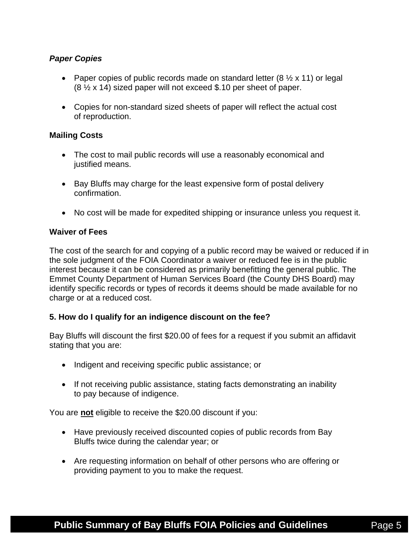# *Paper Copies*

- Paper copies of public records made on standard letter  $(8 \frac{1}{2} \times 11)$  or legal (8 ½ x 14) sized paper will not exceed \$.10 per sheet of paper.
- Copies for non-standard sized sheets of paper will reflect the actual cost of reproduction.

## **Mailing Costs**

- The cost to mail public records will use a reasonably economical and justified means.
- Bay Bluffs may charge for the least expensive form of postal delivery confirmation.
- No cost will be made for expedited shipping or insurance unless you request it.

# **Waiver of Fees**

The cost of the search for and copying of a public record may be waived or reduced if in the sole judgment of the FOIA Coordinator a waiver or reduced fee is in the public interest because it can be considered as primarily benefitting the general public. The Emmet County Department of Human Services Board (the County DHS Board) may identify specific records or types of records it deems should be made available for no charge or at a reduced cost.

## **5. How do I qualify for an indigence discount on the fee?**

Bay Bluffs will discount the first \$20.00 of fees for a request if you submit an affidavit stating that you are:

- Indigent and receiving specific public assistance; or
- If not receiving public assistance, stating facts demonstrating an inability to pay because of indigence.

You are **not** eligible to receive the \$20.00 discount if you:

- Have previously received discounted copies of public records from Bay Bluffs twice during the calendar year; or
- Are requesting information on behalf of other persons who are offering or providing payment to you to make the request.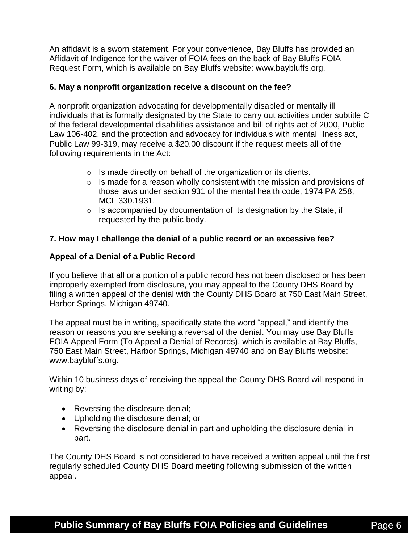An affidavit is a sworn statement. For your convenience, Bay Bluffs has provided an Affidavit of Indigence for the waiver of FOIA fees on the back of Bay Bluffs FOIA Request Form, which is available on Bay Bluffs website: www.baybluffs.org.

# **6. May a nonprofit organization receive a discount on the fee?**

A nonprofit organization advocating for developmentally disabled or mentally ill individuals that is formally designated by the State to carry out activities under subtitle C of the federal developmental disabilities assistance and bill of rights act of 2000, Public Law 106-402, and the protection and advocacy for individuals with mental illness act, Public Law 99-319, may receive a \$20.00 discount if the request meets all of the following requirements in the Act:

- $\circ$  Is made directly on behalf of the organization or its clients.
- $\circ$  Is made for a reason wholly consistent with the mission and provisions of those laws under section 931 of the mental health code, 1974 PA 258, MCL 330.1931.
- $\circ$  Is accompanied by documentation of its designation by the State, if requested by the public body.

# **7. How may I challenge the denial of a public record or an excessive fee?**

# **Appeal of a Denial of a Public Record**

If you believe that all or a portion of a public record has not been disclosed or has been improperly exempted from disclosure, you may appeal to the County DHS Board by filing a written appeal of the denial with the County DHS Board at 750 East Main Street, Harbor Springs, Michigan 49740.

The appeal must be in writing, specifically state the word "appeal," and identify the reason or reasons you are seeking a reversal of the denial. You may use Bay Bluffs FOIA Appeal Form (To Appeal a Denial of Records), which is available at Bay Bluffs, 750 East Main Street, Harbor Springs, Michigan 49740 and on Bay Bluffs website: www.baybluffs.org.

Within 10 business days of receiving the appeal the County DHS Board will respond in writing by:

- Reversing the disclosure denial;
- Upholding the disclosure denial; or
- Reversing the disclosure denial in part and upholding the disclosure denial in part.

The County DHS Board is not considered to have received a written appeal until the first regularly scheduled County DHS Board meeting following submission of the written appeal.